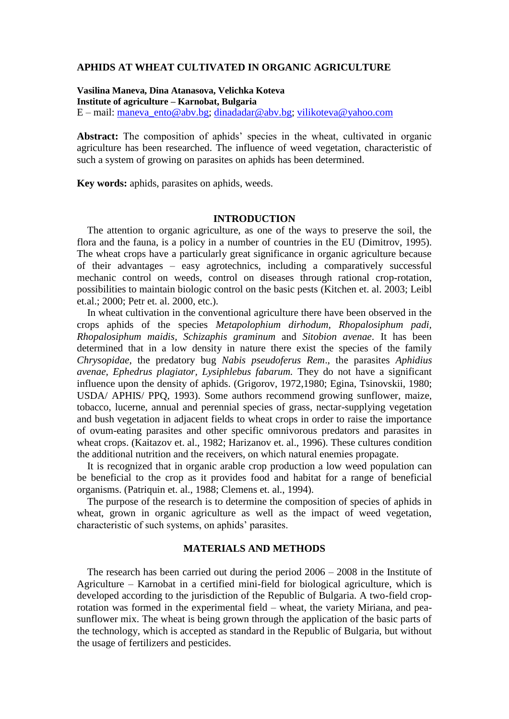### **APHIDS AT WHEAT CULTIVATED IN ORGANIC AGRICULTURE**

**Vasilina Maneva, Dina Atanasova, Velichka Koteva Institute of agriculture – Karnobat, Bulgaria**  $E$  – mail: maneva ento@abv.bg; [dinadadar@abv.bg;](mailto:dinadadar@abv.bg) [vilikoteva@yahoo.com](mailto:vilikoteva@yahoo.com)

Abstract: The composition of aphids' species in the wheat, cultivated in organic agriculture has been researched. The influence of weed vegetation, characteristic of such a system of growing on parasites on aphids has been determined.

**Key words:** aphids, parasites on aphids, weeds.

### **INTRODUCTION**

 The attention to organic agriculture, as one of the ways to preserve the soil, the flora and the fauna, is a policy in a number of countries in the EU (Dimitrov, 1995). The wheat crops have a particularly great significance in organic agriculture because of their advantages – easy agrotechnics, including a comparatively successful mechanic control on weeds, control on diseases through rational crop-rotation, possibilities to maintain biologic control on the basic pests (Kitchen et. al. 2003; Leibl et.al.; 2000; Petr et. al. 2000, etc.).

 In wheat cultivation in the conventional agriculture there have been observed in the crops aphids of the species *Metapolophium dirhodum, Rhopalosiphum padi, Rhopalosiphum maidis, Schizaphis graminum* and *Sitobion avenae*. It has been determined that in a low density in nature there exist the species of the family *Chrysopidae*, the predatory bug *Nabis pseudoferus Rem*., the parasites *Aphidius avenae, Ephedrus plagiator, Lysiphlebus fabarum.* They do not have a significant influence upon the density of aphids. (Grigorov, 1972,1980; Egina, Tsinovskii, 1980; USDA/ APHIS/ PPQ, 1993). Some authors recommend growing sunflower, maize, tobacco, lucerne, annual and perennial species of grass, nectar-supplying vegetation and bush vegetation in adjacent fields to wheat crops in order to raise the importance of ovum-eating parasites and other specific omnivorous predators and parasites in wheat crops. (Kaitazov et. al., 1982; Harizanov et. al., 1996). These cultures condition the additional nutrition and the receivers, on which natural enemies propagate.

 It is recognized that in organic arable crop production a low weed population can be beneficial to the crop as it provides food and habitat for a range of beneficial organisms. (Patriquin et. al., 1988; Clemens et. al., 1994).

 The purpose of the research is to determine the composition of species of aphids in wheat, grown in organic agriculture as well as the impact of weed vegetation, characteristic of such systems, on aphids' parasites.

# **MATERIALS AND METHODS**

 The research has been carried out during the period 2006 – 2008 in the Institute of Agriculture – Karnobat in a certified mini-field for biological agriculture, which is developed according to the jurisdiction of the Republic of Bulgaria. A two-field croprotation was formed in the experimental field – wheat, the variety Miriana, and peasunflower mix. The wheat is being grown through the application of the basic parts of the technology, which is accepted as standard in the Republic of Bulgaria, but without the usage of fertilizers and pesticides.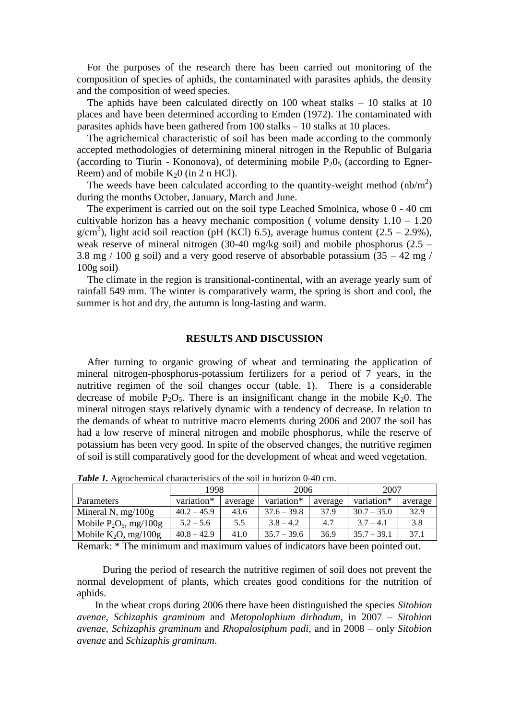For the purposes of the research there has been carried out monitoring of the composition of species of aphids, the contaminated with parasites aphids, the density and the composition of weed species.

 The aphids have been calculated directly on 100 wheat stalks – 10 stalks at 10 places and have been determined according to Emden (1972). The contaminated with parasites aphids have been gathered from 100 stalks – 10 stalks at 10 places.

 The agrichemical characteristic of soil has been made according to the commonly accepted methodologies of determining mineral nitrogen in the Republic of Bulgaria (according to Tiurin - Kononova), of determining mobile  $P_2O_5$  (according to Egner-Reem) and of mobile  $K_2$ 0 (in 2 n HCl).

The weeds have been calculated according to the quantity-weight method  $(nb/m^2)$ during the months October, January, March and June.

 The experiment is carried out on the soil type Leached Smolnica, whose 0 - 40 cm cultivable horizon has a heavy mechanic composition ( volume density  $1.10 - 1.20$  $g/cm<sup>3</sup>$ ), light acid soil reaction (pH (KCl) 6.5), average humus content (2.5 – 2.9%), weak reserve of mineral nitrogen (30-40 mg/kg soil) and mobile phosphorus (2.5 – 3.8 mg  $/$  100 g soil) and a very good reserve of absorbable potassium (35 – 42 mg  $/$ 100g soil)

 The climate in the region is transitional-continental, with an average yearly sum of rainfall 549 mm. The winter is comparatively warm, the spring is short and cool, the summer is hot and dry, the autumn is long-lasting and warm.

### **RESULTS AND DISCUSSION**

 After turning to organic growing of wheat and terminating the application of mineral nitrogen-phosphorus-potassium fertilizers for a period of 7 years, in the nutritive regimen of the soil changes occur (table. 1). There is a considerable decrease of mobile  $P_2O_5$ . There is an insignificant change in the mobile K<sub>2</sub>0. The mineral nitrogen stays relatively dynamic with a tendency of decrease. In relation to the demands of wheat to nutritive macro elements during 2006 and 2007 the soil has had a low reserve of mineral nitrogen and mobile phosphorus, while the reserve of potassium has been very good. In spite of the observed changes, the nutritive regimen of soil is still comparatively good for the development of wheat and weed vegetation.

|                           | 1998          |         | 2006          |         | 2007          |         |
|---------------------------|---------------|---------|---------------|---------|---------------|---------|
| Parameters                | variation*    | average | variation*    | average | variation*    | average |
| Mineral N, $mg/100g$      | $40.2 - 45.9$ | 43.6    | $37.6 - 39.8$ | 37.9    | $30.7 - 35.0$ | 32.9    |
| Mobile $P_2O_5$ , mg/100g | $5.2 - 5.6$   | 5.5     | $3.8 - 4.2$   | 4.7     | $3.7 - 4.1$   | 3.8     |
| Mobile $K_2O$ , mg/100g   | $40.8 - 42.9$ | 41.0    | $35.7 - 39.6$ | 36.9    | $35.7 - 39.1$ | 37.1    |

*Table 1.* Agrochemical characteristics of the soil in horizon 0-40 cm.

Remark: \* The minimum and maximum values of indicators have been pointed out.

 During the period of research the nutritive regimen of soil does not prevent the normal development of plants, which creates good conditions for the nutrition of aphids.

In the wheat crops during 2006 there have been distinguished the species *Sitobion avenae, Schizaphis graminum* and *Metopolophium dirhodum*, in 2007 – *Sitobion avenae, Schizaphis graminum* and *Rhopalosiphum padi*, and in 2008 – only *Sitobion avenae* and *Schizaphis graminum*.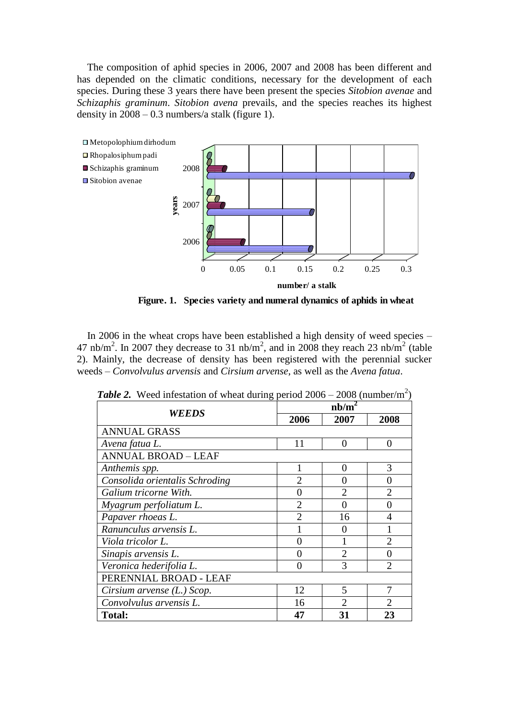The composition of aphid species in 2006, 2007 and 2008 has been different and has depended on the climatic conditions, necessary for the development of each species. During these 3 years there have been present the species *Sitobion avenae* and *Schizaphis graminum*. *Sitobion avena* prevails, and the species reaches its highest density in 2008 – 0.3 numbers/a stalk (figure 1).



**Figure. 1. Species variety and numeral dynamics of aphids in wheat**

 In 2006 in the wheat crops have been established a high density of weed species – 47 nb/m<sup>2</sup>. In 2007 they decrease to 31 nb/m<sup>2</sup>, and in 2008 they reach 23 nb/m<sup>2</sup> (table 2). Mainly, the decrease of density has been registered with the perennial sucker weeds – *Convolvulus arvensis* and *Cirsium arvense*, as well as the *Avena fatua*.

| week information of whem adding period 2000 |                   |                | $2000 (11000)$ in $\frac{1}{2}$ |  |
|---------------------------------------------|-------------------|----------------|---------------------------------|--|
| <b>WEEDS</b>                                | nb/m <sup>2</sup> |                |                                 |  |
|                                             | 2006              | 2007           | 2008                            |  |
| <b>ANNUAL GRASS</b>                         |                   |                |                                 |  |
| Avena fatua L.                              | 11                | $\Omega$       | 0                               |  |
| <b>ANNUAL BROAD - LEAF</b>                  |                   |                |                                 |  |
| Anthemis spp.                               |                   | $\Omega$       | 3                               |  |
| Consolida orientalis Schroding              | $\overline{2}$    | 0              | 0                               |  |
| Galium tricorne With.                       | 0                 | $\overline{2}$ | $\overline{2}$                  |  |
| Myagrum perfoliatum L.                      | $\overline{2}$    | 0              | 0                               |  |
| Papaver rhoeas L.                           | $\overline{2}$    | 16             | 4                               |  |
| Ranunculus arvensis L.                      |                   | $\Omega$       |                                 |  |
| Viola tricolor L.                           | $\overline{0}$    |                | $\overline{2}$                  |  |
| Sinapis arvensis L.                         | 0                 | $\overline{2}$ | 0                               |  |
| Veronica hederifolia L.                     | 0                 | 3              | $\mathcal{D}$                   |  |
| PERENNIAL BROAD - LEAF                      |                   |                |                                 |  |
| Cirsium arvense $(L)$ Scop.                 | 12                | 5              |                                 |  |
| Convolvulus arvensis L.                     | 16                | $\mathfrak{D}$ | $\mathfrak{D}$                  |  |
| <b>Total:</b>                               | 47                | 31             | 23                              |  |

**Table 2.** Weed infestation of wheat during period  $2006 - 2008$  (number/m<sup>2</sup>)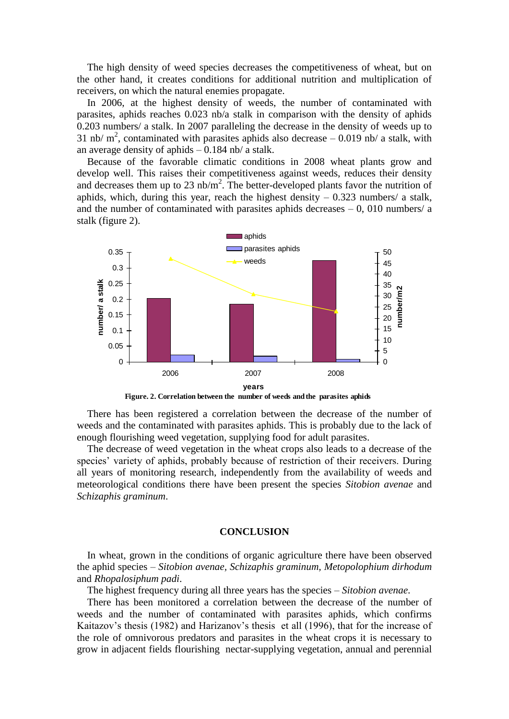The high density of weed species decreases the competitiveness of wheat, but on the other hand, it creates conditions for additional nutrition and multiplication of receivers, on which the natural enemies propagate.

 In 2006, at the highest density of weeds, the number of contaminated with parasites, aphids reaches 0.023 nb/a stalk in comparison with the density of aphids 0.203 numbers/ a stalk. In 2007 paralleling the decrease in the density of weeds up to 31 nb/  $m^2$ , contaminated with parasites aphids also decrease  $-$  0.019 nb/ a stalk, with an average density of aphids  $-0.184$  nb/ a stalk.

 Because of the favorable climatic conditions in 2008 wheat plants grow and develop well. This raises their competitiveness against weeds, reduces their density and decreases them up to 23  $nb/m^2$ . The better-developed plants favor the nutrition of aphids, which, during this year, reach the highest density  $-0.323$  numbers/ a stalk, and the number of contaminated with parasites aphids decreases  $-0$ , 010 numbers/ a stalk (figure 2).



**Figure. 2. Correlation between the number of weeds and the parasites aphids**

 There has been registered a correlation between the decrease of the number of weeds and the contaminated with parasites aphids. This is probably due to the lack of enough flourishing weed vegetation, supplying food for adult parasites.

 The decrease of weed vegetation in the wheat crops also leads to a decrease of the species' variety of aphids, probably because of restriction of their receivers. During all years of monitoring research, independently from the availability of weeds and meteorological conditions there have been present the species *Sitobion avenae* and *Schizaphis graminum*.

## **CONCLUSION**

 In wheat, grown in the conditions of organic agriculture there have been observed the aphid species – *Sitobion avenae, Schizaphis graminum, Metopolophium dirhodum* and *Rhopalosiphum padi*.

The highest frequency during all three years has the species – *Sitobion avenae*.

 There has been monitored a correlation between the decrease of the number of weeds and the number of contaminated with parasites aphids, which confirms Kaitazov's thesis (1982) and Harizanov's thesis et all (1996), that for the increase of the role of omnivorous predators and parasites in the wheat crops it is necessary to grow in adjacent fields flourishing nectar-supplying vegetation, annual and perennial